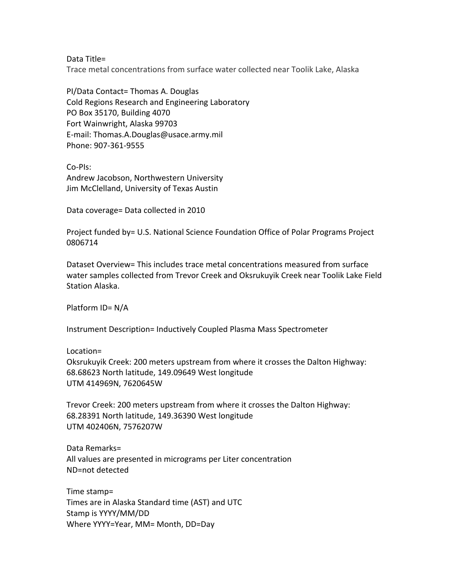Data Title=

Trace metal concentrations from surface water collected near Toolik Lake, Alaska

PI/Data Contact= Thomas A. Douglas Cold Regions Research and Engineering Laboratory PO Box 35170, Building 4070 Fort Wainwright, Alaska 99703 E-mail: Thomas.A.Douglas@usace.army.mil Phone: 907-361-9555

Co-PIs: Andrew Jacobson, Northwestern University Jim McClelland, University of Texas Austin

Data coverage= Data collected in 2010

Project funded by= U.S. National Science Foundation Office of Polar Programs Project 0806714

Dataset Overview= This includes trace metal concentrations measured from surface water samples collected from Trevor Creek and Oksrukuyik Creek near Toolik Lake Field Station Alaska.

Platform ID= N/A

Instrument Description= Inductively Coupled Plasma Mass Spectrometer

Location= Oksrukuyik Creek: 200 meters upstream from where it crosses the Dalton Highway: 68.68623 North latitude, 149.09649 West longitude UTM 414969N, 7620645W

Trevor Creek: 200 meters upstream from where it crosses the Dalton Highway: 68.28391 North latitude, 149.36390 West longitude UTM 402406N, 7576207W

Data Remarks= All values are presented in micrograms per Liter concentration ND=not detected

Time stamp= Times are in Alaska Standard time (AST) and UTC Stamp is YYYY/MM/DD Where YYYY=Year, MM= Month, DD=Day